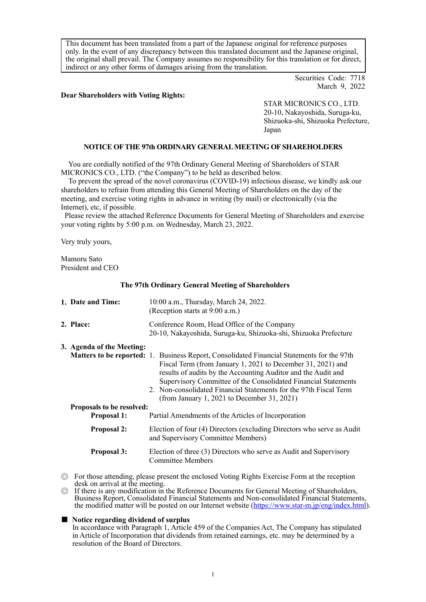This document has been translated from a part of the Japanese original for reference purposes only. In the event of any discrepancy between this translated document and the Japanese original, the original shall prevail. The Company assumes no responsibility for this translation or for direct, indirect or any other forms of damages arising from the translation.

> Securities Code: 7718 March 9, 2022

#### **Dear Shareholders with Voting Rights:**

STAR MICRONICS CO., LTD. 20-10, Nakayoshida, Suruga-ku, Shizuoka-shi, Shizuoka Prefecture, Japan

# **NOTICE OF THE 97th ORDINARY GENERAL MEETING OF SHAREHOLDERS**

You are cordially notified of the 97th Ordinary General Meeting of Shareholders of STAR MICRONICS CO., LTD. ("the Company") to be held as described below.

To prevent the spread of the novel coronavirus (COVID-19) infectious disease, we kindly ask our shareholders to refrain from attending this General Meeting of Shareholders on the day of the meeting, and exercise voting rights in advance in writing (by mail) or electronically (via the Internet), etc, if possible.

Please review the attached Reference Documents for General Meeting of Shareholders and exercise your voting rights by 5:00 p.m. on Wednesday, March 23, 2022.

Very truly yours,

Mamoru Sato President and CEO

**The 97th Ordinary General Meeting of Shareholders**

|             | 1. Date and Time:                               | 10:00 a.m., Thursday, March 24, 2022.<br>(Reception starts at 9:00 a.m.)                                                                                                                                                                                                                                                                                                                                                |  |  |  |  |
|-------------|-------------------------------------------------|-------------------------------------------------------------------------------------------------------------------------------------------------------------------------------------------------------------------------------------------------------------------------------------------------------------------------------------------------------------------------------------------------------------------------|--|--|--|--|
|             | 2. Place:                                       | Conference Room, Head Office of the Company<br>20-10, Nakayoshida, Suruga-ku, Shizuoka-shi, Shizuoka Prefecture                                                                                                                                                                                                                                                                                                         |  |  |  |  |
|             | 3. Agenda of the Meeting:                       | <b>Matters to be reported:</b> 1. Business Report, Consolidated Financial Statements for the 97th<br>Fiscal Term (from January 1, 2021 to December 31, 2021) and<br>results of audits by the Accounting Auditor and the Audit and<br>Supervisory Committee of the Consolidated Financial Statements<br>2. Non-consolidated Financial Statements for the 97th Fiscal Term<br>(from January 1, 2021 to December 31, 2021) |  |  |  |  |
|             | Proposals to be resolved:<br><b>Proposal 1:</b> | Partial Amendments of the Articles of Incorporation                                                                                                                                                                                                                                                                                                                                                                     |  |  |  |  |
| Proposal 2: |                                                 | Election of four (4) Directors (excluding Directors who serve as Audit<br>and Supervisory Committee Members)                                                                                                                                                                                                                                                                                                            |  |  |  |  |
|             | Proposal 3:                                     | Election of three (3) Directors who serve as Audit and Supervisory<br><b>Committee Members</b>                                                                                                                                                                                                                                                                                                                          |  |  |  |  |
|             |                                                 |                                                                                                                                                                                                                                                                                                                                                                                                                         |  |  |  |  |

- ◎ For those attending, please present the enclosed Voting Rights Exercise Form at the reception desk on arrival at the meeting.
- ◎ If there is any modification in the Reference Documents for General Meeting of Shareholders, Business Report, Consolidated Financial Statements and Non-consolidated Financial Statements, the modified matter will be posted on our Internet website [\(https://www.star-m.jp/eng/index.html\)](https://www.star-m.jp/eng/index.html).

#### ■ **Notice regarding dividend of surplus**

In accordance with Paragraph 1, Article 459 of the Companies Act, The Company has stipulated in Article of Incorporation that dividends from retained earnings, etc. may be determined by a resolution of the Board of Directors.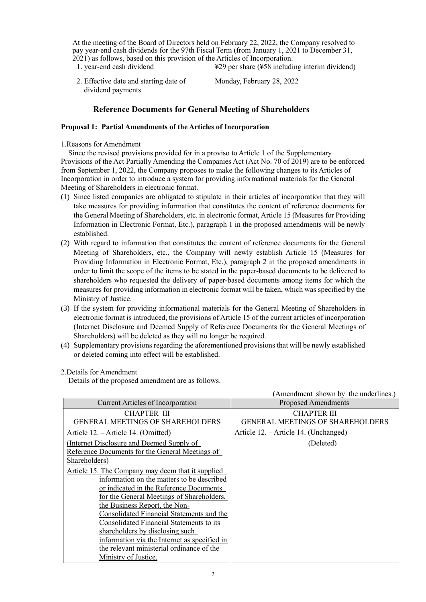At the meeting of the Board of Directors held on February 22, 2022, the Company resolved to pay year-end cash dividends for the 97th Fiscal Term (from January 1, 2021 to December 31, 2021) as follows, based on this provision of the Articles of Incorporation.

- 1. year-end cash dividend  $\angle$  ¥29 per share (¥58 including interim dividend)
- 2. Effective date and starting date of dividend payments

Monday, February 28, 2022

# **Reference Documents for General Meeting of Shareholders**

## **Proposal 1: Partial Amendments of the Articles of Incorporation**

### 1.Reasons for Amendment

Since the revised provisions provided for in a proviso to Article 1 of the Supplementary Provisions of the Act Partially Amending the Companies Act (Act No. 70 of 2019) are to be enforced from September 1, 2022, the Company proposes to make the following changes to its Articles of Incorporation in order to introduce a system for providing informational materials for the General Meeting of Shareholders in electronic format.

- (1) Since listed companies are obligated to stipulate in their articles of incorporation that they will take measures for providing information that constitutes the content of reference documents for the General Meeting of Shareholders, etc. in electronic format, Article 15 (Measures for Providing Information in Electronic Format, Etc.), paragraph 1 in the proposed amendments will be newly established.
- (2) With regard to information that constitutes the content of reference documents for the General Meeting of Shareholders, etc., the Company will newly establish Article 15 (Measures for Providing Information in Electronic Format, Etc.), paragraph 2 in the proposed amendments in order to limit the scope of the items to be stated in the paper-based documents to be delivered to shareholders who requested the delivery of paper-based documents among items for which the measures for providing information in electronic format will be taken, which was specified by the Ministry of Justice.
- (3) If the system for providing informational materials for the General Meeting of Shareholders in electronic format is introduced, the provisions of Article 15 of the current articles of incorporation (Internet Disclosure and Deemed Supply of Reference Documents for the General Meetings of Shareholders) will be deleted as they will no longer be required.
- (4) Supplementary provisions regarding the aforementioned provisions that will be newly established or deleted coming into effect will be established.

# 2.Details for Amendment

Details of the proposed amendment are as follows.

|                                                   | Amendment shown by the underlines.      |
|---------------------------------------------------|-----------------------------------------|
| Current Articles of Incorporation                 | <b>Proposed Amendments</b>              |
| CHAPTER III                                       | <b>CHAPTER III</b>                      |
| GENERAL MEETINGS OF SHAREHOLDERS                  | <b>GENERAL MEETINGS OF SHAREHOLDERS</b> |
| Article 12. – Article 14. (Omitted)               | Article 12. – Article 14. (Unchanged)   |
| (Internet Disclosure and Deemed Supply of         | (Deleted)                               |
| Reference Documents for the General Meetings of   |                                         |
| Shareholders)                                     |                                         |
| Article 15. The Company may deem that it supplied |                                         |
| information on the matters to be described        |                                         |
| or indicated in the Reference Documents           |                                         |
| for the General Meetings of Shareholders,         |                                         |
| the Business Report, the Non-                     |                                         |
| Consolidated Financial Statements and the         |                                         |
| Consolidated Financial Statements to its          |                                         |
| shareholders by disclosing such                   |                                         |
| information via the Internet as specified in      |                                         |
| the relevant ministerial ordinance of the         |                                         |
| Ministry of Justice.                              |                                         |

 $(A - 1 - 1 - 1 - 1 - 1 - 1 - 1)$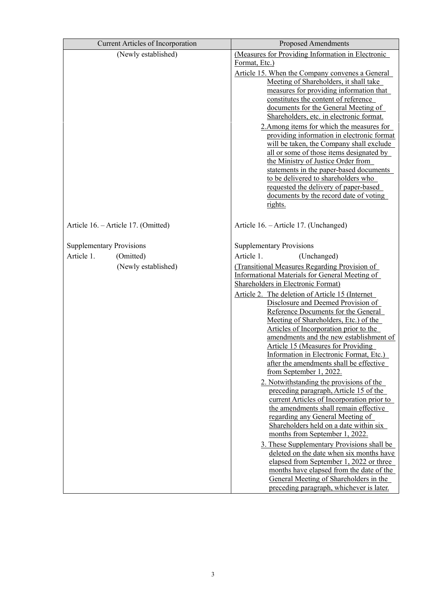| <b>Current Articles of Incorporation</b>                                          | <b>Proposed Amendments</b>                                                                                                                                                                                                                                                                                                                                                                                                                                                                                                                                                                                                                                                                                                                                                                                                                                                                                                                                                                                                                                                                                                                                                                            |  |  |  |  |  |
|-----------------------------------------------------------------------------------|-------------------------------------------------------------------------------------------------------------------------------------------------------------------------------------------------------------------------------------------------------------------------------------------------------------------------------------------------------------------------------------------------------------------------------------------------------------------------------------------------------------------------------------------------------------------------------------------------------------------------------------------------------------------------------------------------------------------------------------------------------------------------------------------------------------------------------------------------------------------------------------------------------------------------------------------------------------------------------------------------------------------------------------------------------------------------------------------------------------------------------------------------------------------------------------------------------|--|--|--|--|--|
| (Newly established)                                                               | (Measures for Providing Information in Electronic<br>Format, Etc.)<br>Article 15. When the Company convenes a General<br>Meeting of Shareholders, it shall take<br>measures for providing information that<br>constitutes the content of reference<br>documents for the General Meeting of<br>Shareholders, etc. in electronic format.<br>2. Among items for which the measures for<br>providing information in electronic format<br>will be taken, the Company shall exclude<br>all or some of those items designated by<br>the Ministry of Justice Order from<br>statements in the paper-based documents<br>to be delivered to shareholders who<br>requested the delivery of paper-based<br>documents by the record date of voting<br>rights.                                                                                                                                                                                                                                                                                                                                                                                                                                                       |  |  |  |  |  |
| Article 16. - Article 17. (Omitted)                                               | Article 16. - Article 17. (Unchanged)                                                                                                                                                                                                                                                                                                                                                                                                                                                                                                                                                                                                                                                                                                                                                                                                                                                                                                                                                                                                                                                                                                                                                                 |  |  |  |  |  |
| <b>Supplementary Provisions</b><br>Article 1.<br>(Omitted)<br>(Newly established) | <b>Supplementary Provisions</b><br>Article 1.<br>(Unchanged)<br>(Transitional Measures Regarding Provision of<br>Informational Materials for General Meeting of<br>Shareholders in Electronic Format)<br>Article 2. The deletion of Article 15 (Internet<br>Disclosure and Deemed Provision of<br>Reference Documents for the General<br>Meeting of Shareholders, Etc.) of the<br>Articles of Incorporation prior to the<br>amendments and the new establishment of<br><b>Article 15 (Measures for Providing</b><br>Information in Electronic Format, Etc.)<br>after the amendments shall be effective<br>from September 1, 2022.<br>2. Notwithstanding the provisions of the<br>preceding paragraph, Article 15 of the<br>current Articles of Incorporation prior to<br>the amendments shall remain effective<br>regarding any General Meeting of<br>Shareholders held on a date within six<br>months from September 1, 2022.<br>3. These Supplementary Provisions shall be<br>deleted on the date when six months have<br>elapsed from September 1, 2022 or three<br>months have elapsed from the date of the<br>General Meeting of Shareholders in the<br>preceding paragraph, whichever is later. |  |  |  |  |  |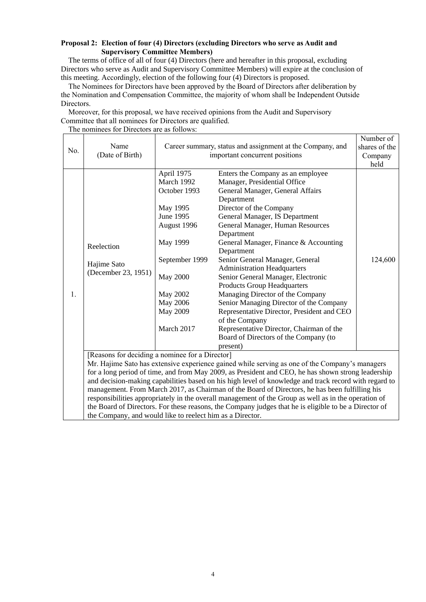## **Proposal 2: Election of four (4) Directors (excluding Directors who serve as Audit and Supervisory Committee Members)**

The terms of office of all of four (4) Directors (here and hereafter in this proposal, excluding Directors who serve as Audit and Supervisory Committee Members) will expire at the conclusion of this meeting. Accordingly, election of the following four (4) Directors is proposed.

The Nominees for Directors have been approved by the Board of Directors after deliberation by the Nomination and Compensation Committee, the majority of whom shall be Independent Outside Directors.

Moreover, for this proposal, we have received opinions from the Audit and Supervisory Committee that all nominees for Directors are qualified.

The nominees for Directors are as follows:

|     |                                                                                                       |                                                           | Number of                                                                                             |         |  |  |  |
|-----|-------------------------------------------------------------------------------------------------------|-----------------------------------------------------------|-------------------------------------------------------------------------------------------------------|---------|--|--|--|
| No. | Name                                                                                                  | Career summary, status and assignment at the Company, and | shares of the                                                                                         |         |  |  |  |
|     | (Date of Birth)                                                                                       |                                                           | important concurrent positions                                                                        | Company |  |  |  |
|     |                                                                                                       |                                                           |                                                                                                       | held    |  |  |  |
|     |                                                                                                       | April 1975                                                | Enters the Company as an employee                                                                     |         |  |  |  |
|     |                                                                                                       | March 1992                                                | Manager, Presidential Office                                                                          |         |  |  |  |
|     |                                                                                                       | October 1993                                              | General Manager, General Affairs                                                                      |         |  |  |  |
|     |                                                                                                       |                                                           | Department<br>Director of the Company                                                                 |         |  |  |  |
|     |                                                                                                       | May 1995                                                  |                                                                                                       |         |  |  |  |
|     |                                                                                                       | June 1995                                                 | General Manager, IS Department                                                                        |         |  |  |  |
|     |                                                                                                       | August 1996                                               | General Manager, Human Resources                                                                      |         |  |  |  |
|     |                                                                                                       |                                                           | Department                                                                                            |         |  |  |  |
|     | Reelection                                                                                            | May 1999                                                  | General Manager, Finance & Accounting                                                                 | 124,600 |  |  |  |
|     |                                                                                                       |                                                           | Department                                                                                            |         |  |  |  |
|     | Hajime Sato<br>(December 23, 1951)                                                                    | September 1999                                            | Senior General Manager, General                                                                       |         |  |  |  |
|     |                                                                                                       |                                                           | <b>Administration Headquarters</b>                                                                    |         |  |  |  |
|     |                                                                                                       | <b>May 2000</b>                                           | Senior General Manager, Electronic                                                                    |         |  |  |  |
|     |                                                                                                       |                                                           | <b>Products Group Headquarters</b><br>Managing Director of the Company                                |         |  |  |  |
| 1.  |                                                                                                       | <b>May 2002</b>                                           |                                                                                                       |         |  |  |  |
|     |                                                                                                       | <b>May 2006</b>                                           | Senior Managing Director of the Company                                                               |         |  |  |  |
|     |                                                                                                       | <b>May 2009</b>                                           | Representative Director, President and CEO                                                            |         |  |  |  |
|     |                                                                                                       |                                                           | of the Company                                                                                        |         |  |  |  |
|     |                                                                                                       | March 2017                                                | Representative Director, Chairman of the                                                              |         |  |  |  |
|     |                                                                                                       |                                                           | Board of Directors of the Company (to                                                                 |         |  |  |  |
|     |                                                                                                       |                                                           | present)                                                                                              |         |  |  |  |
|     | [Reasons for deciding a nominee for a Director]                                                       |                                                           |                                                                                                       |         |  |  |  |
|     | Mr. Hajime Sato has extensive experience gained while serving as one of the Company's managers        |                                                           |                                                                                                       |         |  |  |  |
|     | for a long period of time, and from May 2009, as President and CEO, he has shown strong leadership    |                                                           |                                                                                                       |         |  |  |  |
|     |                                                                                                       |                                                           | and decision-making capabilities based on his high level of knowledge and track record with regard to |         |  |  |  |
|     | management. From March 2017, as Chairman of the Board of Directors, he has been fulfilling his        |                                                           |                                                                                                       |         |  |  |  |
|     |                                                                                                       |                                                           | responsibilities appropriately in the overall management of the Group as well as in the operation of  |         |  |  |  |
|     | the Board of Directors. For these reasons, the Company judges that he is eligible to be a Director of |                                                           |                                                                                                       |         |  |  |  |
|     | the Company, and would like to reelect him as a Director.                                             |                                                           |                                                                                                       |         |  |  |  |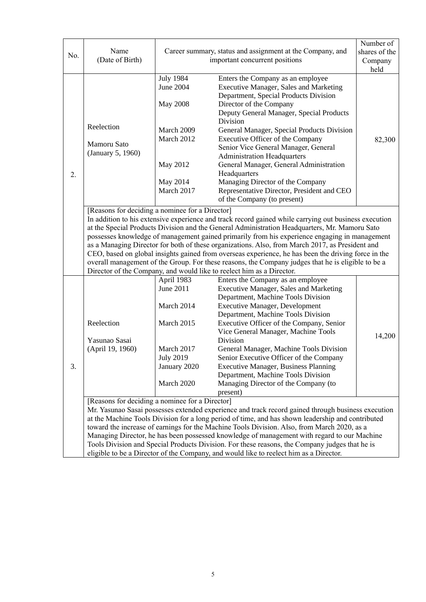|                                                 |                                                                                                     |                  | Number of                                                                                             |               |  |  |  |  |  |
|-------------------------------------------------|-----------------------------------------------------------------------------------------------------|------------------|-------------------------------------------------------------------------------------------------------|---------------|--|--|--|--|--|
| No.                                             | Name                                                                                                |                  | Career summary, status and assignment at the Company, and<br>important concurrent positions           | shares of the |  |  |  |  |  |
|                                                 | (Date of Birth)                                                                                     |                  | Company                                                                                               |               |  |  |  |  |  |
|                                                 |                                                                                                     |                  |                                                                                                       | held          |  |  |  |  |  |
|                                                 |                                                                                                     | <b>July 1984</b> | Enters the Company as an employee                                                                     |               |  |  |  |  |  |
|                                                 |                                                                                                     | <b>June 2004</b> | <b>Executive Manager, Sales and Marketing</b>                                                         |               |  |  |  |  |  |
|                                                 |                                                                                                     |                  | Department, Special Products Division                                                                 |               |  |  |  |  |  |
|                                                 |                                                                                                     | <b>May 2008</b>  | Director of the Company                                                                               |               |  |  |  |  |  |
|                                                 |                                                                                                     |                  | Deputy General Manager, Special Products                                                              |               |  |  |  |  |  |
|                                                 | Reelection                                                                                          |                  | Division                                                                                              |               |  |  |  |  |  |
|                                                 |                                                                                                     | March 2009       | General Manager, Special Products Division                                                            |               |  |  |  |  |  |
|                                                 | Mamoru Sato                                                                                         | March 2012       | Executive Officer of the Company                                                                      | 82,300        |  |  |  |  |  |
|                                                 | (January 5, 1960)                                                                                   |                  | Senior Vice General Manager, General                                                                  |               |  |  |  |  |  |
|                                                 |                                                                                                     |                  | <b>Administration Headquarters</b>                                                                    |               |  |  |  |  |  |
|                                                 |                                                                                                     | May 2012         | General Manager, General Administration                                                               |               |  |  |  |  |  |
| 2.                                              |                                                                                                     |                  | Headquarters                                                                                          |               |  |  |  |  |  |
|                                                 |                                                                                                     | May 2014         | Managing Director of the Company                                                                      |               |  |  |  |  |  |
|                                                 |                                                                                                     | March 2017       | Representative Director, President and CEO                                                            |               |  |  |  |  |  |
|                                                 |                                                                                                     |                  | of the Company (to present)                                                                           |               |  |  |  |  |  |
|                                                 | [Reasons for deciding a nominee for a Director]                                                     |                  |                                                                                                       |               |  |  |  |  |  |
|                                                 |                                                                                                     |                  | In addition to his extensive experience and track record gained while carrying out business execution |               |  |  |  |  |  |
|                                                 | at the Special Products Division and the General Administration Headquarters, Mr. Mamoru Sato       |                  |                                                                                                       |               |  |  |  |  |  |
|                                                 | possesses knowledge of management gained primarily from his experience engaging in management       |                  |                                                                                                       |               |  |  |  |  |  |
|                                                 | as a Managing Director for both of these organizations. Also, from March 2017, as President and     |                  |                                                                                                       |               |  |  |  |  |  |
|                                                 | CEO, based on global insights gained from overseas experience, he has been the driving force in the |                  |                                                                                                       |               |  |  |  |  |  |
|                                                 | overall management of the Group. For these reasons, the Company judges that he is eligible to be a  |                  |                                                                                                       |               |  |  |  |  |  |
|                                                 |                                                                                                     |                  | Director of the Company, and would like to reelect him as a Director.                                 |               |  |  |  |  |  |
| April 1983<br>Enters the Company as an employee |                                                                                                     |                  |                                                                                                       |               |  |  |  |  |  |
|                                                 |                                                                                                     | <b>June 2011</b> | Executive Manager, Sales and Marketing                                                                |               |  |  |  |  |  |
|                                                 |                                                                                                     |                  | Department, Machine Tools Division                                                                    |               |  |  |  |  |  |
|                                                 |                                                                                                     | March 2014       | <b>Executive Manager, Development</b>                                                                 |               |  |  |  |  |  |
|                                                 |                                                                                                     |                  | Department, Machine Tools Division                                                                    |               |  |  |  |  |  |
|                                                 | Reelection                                                                                          | March 2015       | Executive Officer of the Company, Senior                                                              |               |  |  |  |  |  |
|                                                 |                                                                                                     |                  | Vice General Manager, Machine Tools                                                                   | 14,200        |  |  |  |  |  |
|                                                 | Yasunao Sasai                                                                                       |                  | Division                                                                                              |               |  |  |  |  |  |
|                                                 | (April 19, 1960)                                                                                    | March 2017       | General Manager, Machine Tools Division                                                               |               |  |  |  |  |  |
|                                                 |                                                                                                     | <b>July 2019</b> | Senior Executive Officer of the Company                                                               |               |  |  |  |  |  |
| 3.                                              |                                                                                                     | January 2020     | <b>Executive Manager, Business Planning</b>                                                           |               |  |  |  |  |  |
|                                                 |                                                                                                     |                  | Department, Machine Tools Division                                                                    |               |  |  |  |  |  |
|                                                 |                                                                                                     | March 2020       | Managing Director of the Company (to                                                                  |               |  |  |  |  |  |
|                                                 |                                                                                                     |                  | present)                                                                                              |               |  |  |  |  |  |
|                                                 | [Reasons for deciding a nominee for a Director]                                                     |                  |                                                                                                       |               |  |  |  |  |  |
|                                                 |                                                                                                     |                  | Mr. Yasunao Sasai possesses extended experience and track record gained through business execution    |               |  |  |  |  |  |
|                                                 |                                                                                                     |                  | at the Machine Tools Division for a long period of time, and has shown leadership and contributed     |               |  |  |  |  |  |
|                                                 |                                                                                                     |                  | toward the increase of earnings for the Machine Tools Division. Also, from March 2020, as a           |               |  |  |  |  |  |
|                                                 |                                                                                                     |                  | Managing Director, he has been possessed knowledge of management with regard to our Machine           |               |  |  |  |  |  |
|                                                 | Tools Division and Special Products Division. For these reasons, the Company judges that he is      |                  |                                                                                                       |               |  |  |  |  |  |
|                                                 | eligible to be a Director of the Company, and would like to reelect him as a Director.              |                  |                                                                                                       |               |  |  |  |  |  |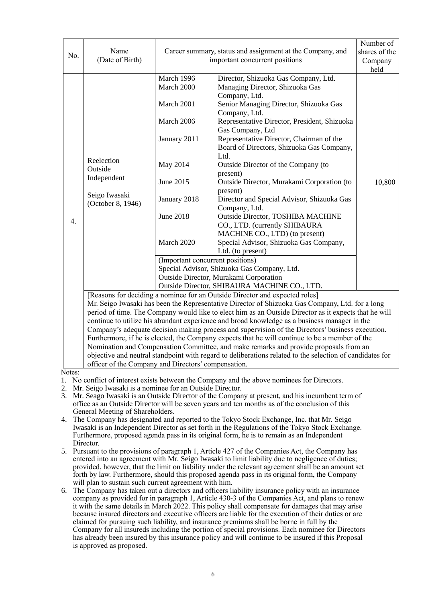| No.    | Name<br>(Date of Birth)                                                                                                                                                                                                                                                                                                                                                                                                                                                                                                                                        | Career summary, status and assignment at the Company, and<br>important concurrent positions                                                                                         | Number of<br>shares of the<br>Company<br>held                                                                                                                                                                                                                                                                                                                                                                                                                                                                                                                                                                                                                                                                                                                               |        |  |  |
|--------|----------------------------------------------------------------------------------------------------------------------------------------------------------------------------------------------------------------------------------------------------------------------------------------------------------------------------------------------------------------------------------------------------------------------------------------------------------------------------------------------------------------------------------------------------------------|-------------------------------------------------------------------------------------------------------------------------------------------------------------------------------------|-----------------------------------------------------------------------------------------------------------------------------------------------------------------------------------------------------------------------------------------------------------------------------------------------------------------------------------------------------------------------------------------------------------------------------------------------------------------------------------------------------------------------------------------------------------------------------------------------------------------------------------------------------------------------------------------------------------------------------------------------------------------------------|--------|--|--|
| 4.     | Reelection<br>Outside<br>Independent<br>Seigo Iwasaki<br>(October 8, 1946)                                                                                                                                                                                                                                                                                                                                                                                                                                                                                     | March 1996<br>March 2000<br>March 2001<br>March 2006<br>January 2011<br>May 2014<br>June 2015<br>January 2018<br><b>June 2018</b><br>March 2020<br>(Important concurrent positions) | Director, Shizuoka Gas Company, Ltd.<br>Managing Director, Shizuoka Gas<br>Company, Ltd.<br>Senior Managing Director, Shizuoka Gas<br>Company, Ltd.<br>Representative Director, President, Shizuoka<br>Gas Company, Ltd<br>Representative Director, Chairman of the<br>Board of Directors, Shizuoka Gas Company,<br>Ltd.<br>Outside Director of the Company (to<br>present)<br>Outside Director, Murakami Corporation (to<br>present)<br>Director and Special Advisor, Shizuoka Gas<br>Company, Ltd.<br><b>Outside Director, TOSHIBA MACHINE</b><br>CO., LTD. (currently SHIBAURA<br>MACHINE CO., LTD) (to present)<br>Special Advisor, Shizuoka Gas Company,<br>Ltd. (to present)<br>Special Advisor, Shizuoka Gas Company, Ltd.<br>Outside Director, Murakami Corporation | 10,800 |  |  |
|        | Outside Director, SHIBAURA MACHINE CO., LTD.<br>[Reasons for deciding a nominee for an Outside Director and expected roles]<br>Mr. Seigo Iwasaki has been the Representative Director of Shizuoka Gas Company, Ltd. for a long<br>period of time. The Company would like to elect him as an Outside Director as it expects that he will                                                                                                                                                                                                                        |                                                                                                                                                                                     |                                                                                                                                                                                                                                                                                                                                                                                                                                                                                                                                                                                                                                                                                                                                                                             |        |  |  |
|        | continue to utilize his abundant experience and broad knowledge as a business manager in the<br>Company's adequate decision making process and supervision of the Directors' business execution.<br>Furthermore, if he is elected, the Company expects that he will continue to be a member of the<br>Nomination and Compensation Committee, and make remarks and provide proposals from an<br>objective and neutral standpoint with regard to deliberations related to the selection of candidates for<br>officer of the Company and Directors' compensation. |                                                                                                                                                                                     |                                                                                                                                                                                                                                                                                                                                                                                                                                                                                                                                                                                                                                                                                                                                                                             |        |  |  |
| Votes: |                                                                                                                                                                                                                                                                                                                                                                                                                                                                                                                                                                |                                                                                                                                                                                     |                                                                                                                                                                                                                                                                                                                                                                                                                                                                                                                                                                                                                                                                                                                                                                             |        |  |  |

 $\mathcal{N}$ 

1. No conflict of interest exists between the Company and the above nominees for Directors.

2. Mr. Seigo Iwasaki is a nominee for an Outside Director.

3. Mr. Seago Iwasaki is an Outside Director of the Company at present, and his incumbent term of office as an Outside Director will be seven years and ten months as of the conclusion of this General Meeting of Shareholders.

4. The Company has designated and reported to the Tokyo Stock Exchange, Inc. that Mr. Seigo Iwasaki is an Independent Director as set forth in the Regulations of the Tokyo Stock Exchange. Furthermore, proposed agenda pass in its original form, he is to remain as an Independent Director.

5. Pursuant to the provisions of paragraph 1, Article 427 of the Companies Act, the Company has entered into an agreement with Mr. Seigo Iwasaki to limit liability due to negligence of duties; provided, however, that the limit on liability under the relevant agreement shall be an amount set forth by law. Furthermore, should this proposed agenda pass in its original form, the Company will plan to sustain such current agreement with him.

6. The Company has taken out a directors and officers liability insurance policy with an insurance company as provided for in paragraph 1, Article 430-3 of the Companies Act, and plans to renew it with the same details in March 2022. This policy shall compensate for damages that may arise because insured directors and executive officers are liable for the execution of their duties or are claimed for pursuing such liability, and insurance premiums shall be borne in full by the Company for all insureds including the portion of special provisions. Each nominee for Directors has already been insured by this insurance policy and will continue to be insured if this Proposal is approved as proposed.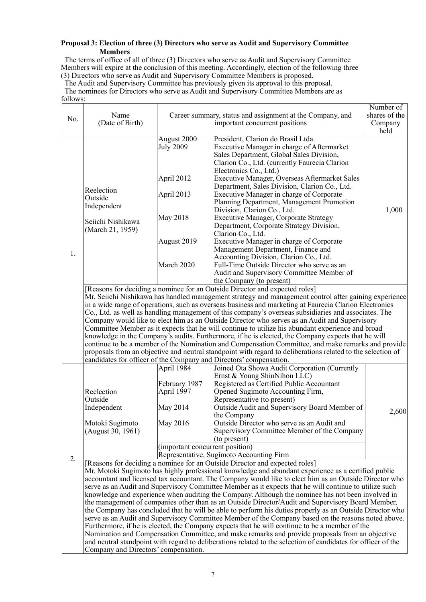## **Proposal 3: Election of three (3) Directors who serve as Audit and Supervisory Committee Members**

The terms of office of all of three (3) Directors who serve as Audit and Supervisory Committee Members will expire at the conclusion of this meeting. Accordingly, election of the following three (3) Directors who serve as Audit and Supervisory Committee Members is proposed.

The Audit and Supervisory Committee has previously given its approval to this proposal.

The nominees for Directors who serve as Audit and Supervisory Committee Members are as follows:

|                                                                                                               |                                                                                                       |                                                                                                        |                                                                                                             | Number of     |  |  |  |  |  |
|---------------------------------------------------------------------------------------------------------------|-------------------------------------------------------------------------------------------------------|--------------------------------------------------------------------------------------------------------|-------------------------------------------------------------------------------------------------------------|---------------|--|--|--|--|--|
| No.                                                                                                           | Name                                                                                                  |                                                                                                        | Career summary, status and assignment at the Company, and                                                   | shares of the |  |  |  |  |  |
|                                                                                                               | (Date of Birth)                                                                                       |                                                                                                        | important concurrent positions                                                                              | Company       |  |  |  |  |  |
|                                                                                                               |                                                                                                       |                                                                                                        |                                                                                                             | held          |  |  |  |  |  |
|                                                                                                               |                                                                                                       | August 2000                                                                                            | President, Clarion do Brasil Ltda.                                                                          |               |  |  |  |  |  |
|                                                                                                               |                                                                                                       | <b>July 2009</b>                                                                                       | Executive Manager in charge of Aftermarket                                                                  |               |  |  |  |  |  |
|                                                                                                               |                                                                                                       |                                                                                                        | Sales Department, Global Sales Division,                                                                    |               |  |  |  |  |  |
|                                                                                                               |                                                                                                       |                                                                                                        | Clarion Co., Ltd. (currently Faurecia Clarion                                                               |               |  |  |  |  |  |
|                                                                                                               |                                                                                                       |                                                                                                        | Electronics Co., Ltd.)<br>Executive Manager, Overseas Aftermarket Sales                                     |               |  |  |  |  |  |
|                                                                                                               |                                                                                                       | April 2012                                                                                             | Department, Sales Division, Clarion Co., Ltd.                                                               |               |  |  |  |  |  |
|                                                                                                               | Reelection                                                                                            | April 2013                                                                                             | Executive Manager in charge of Corporate                                                                    |               |  |  |  |  |  |
|                                                                                                               | Outside<br>Independent                                                                                |                                                                                                        | Planning Department, Management Promotion                                                                   |               |  |  |  |  |  |
|                                                                                                               |                                                                                                       |                                                                                                        | Division, Clarion Co., Ltd.                                                                                 | 1,000         |  |  |  |  |  |
|                                                                                                               |                                                                                                       | May 2018                                                                                               | Executive Manager, Corporate Strategy                                                                       |               |  |  |  |  |  |
|                                                                                                               | Seiichi Nishikawa                                                                                     |                                                                                                        | Department, Corporate Strategy Division,                                                                    |               |  |  |  |  |  |
|                                                                                                               | (March 21, 1959)                                                                                      |                                                                                                        | Clarion Co., Ltd.                                                                                           |               |  |  |  |  |  |
|                                                                                                               |                                                                                                       | August 2019                                                                                            | Executive Manager in charge of Corporate                                                                    |               |  |  |  |  |  |
|                                                                                                               |                                                                                                       |                                                                                                        | Management Department, Finance and                                                                          |               |  |  |  |  |  |
| 1.                                                                                                            |                                                                                                       |                                                                                                        | Accounting Division, Clarion Co., Ltd.                                                                      |               |  |  |  |  |  |
|                                                                                                               |                                                                                                       | March 2020                                                                                             | Full-Time Outside Director who serve as an                                                                  |               |  |  |  |  |  |
|                                                                                                               |                                                                                                       |                                                                                                        | Audit and Supervisory Committee Member of                                                                   |               |  |  |  |  |  |
|                                                                                                               |                                                                                                       |                                                                                                        | the Company (to present)                                                                                    |               |  |  |  |  |  |
|                                                                                                               |                                                                                                       |                                                                                                        | [Reasons for deciding a nominee for an Outside Director and expected roles]                                 |               |  |  |  |  |  |
|                                                                                                               | Mr. Seiichi Nishikawa has handled management strategy and management control after gaining experience |                                                                                                        |                                                                                                             |               |  |  |  |  |  |
|                                                                                                               |                                                                                                       | in a wide range of operations, such as overseas business and marketing at Faurecia Clarion Electronics |                                                                                                             |               |  |  |  |  |  |
|                                                                                                               | Co., Ltd. as well as handling management of this company's overseas subsidiaries and associates. The  |                                                                                                        |                                                                                                             |               |  |  |  |  |  |
|                                                                                                               | Company would like to elect him as an Outside Director who serves as an Audit and Supervisory         |                                                                                                        |                                                                                                             |               |  |  |  |  |  |
|                                                                                                               |                                                                                                       |                                                                                                        | Committee Member as it expects that he will continue to utilize his abundant experience and broad           |               |  |  |  |  |  |
|                                                                                                               |                                                                                                       |                                                                                                        | knowledge in the Company's audits. Furthermore, if he is elected, the Company expects that he will          |               |  |  |  |  |  |
|                                                                                                               | continue to be a member of the Nomination and Compensation Committee, and make remarks and provide    |                                                                                                        |                                                                                                             |               |  |  |  |  |  |
|                                                                                                               |                                                                                                       |                                                                                                        | proposals from an objective and neutral standpoint with regard to deliberations related to the selection of |               |  |  |  |  |  |
|                                                                                                               | candidates for officer of the Company and Directors' compensation.                                    |                                                                                                        |                                                                                                             |               |  |  |  |  |  |
|                                                                                                               |                                                                                                       | April 1984                                                                                             | Joined Ota Showa Audit Corporation (Currently                                                               |               |  |  |  |  |  |
|                                                                                                               |                                                                                                       |                                                                                                        | Ernst & Young ShinNihon LLC)                                                                                |               |  |  |  |  |  |
|                                                                                                               |                                                                                                       | February 1987<br>April 1997                                                                            | Registered as Certified Public Accountant                                                                   |               |  |  |  |  |  |
|                                                                                                               | Reelection<br>Outside                                                                                 |                                                                                                        | Opened Sugimoto Accounting Firm,<br>Representative (to present)                                             |               |  |  |  |  |  |
|                                                                                                               | Independent                                                                                           | May 2014                                                                                               | Outside Audit and Supervisory Board Member of                                                               |               |  |  |  |  |  |
|                                                                                                               |                                                                                                       |                                                                                                        | the Company                                                                                                 | 2,600         |  |  |  |  |  |
|                                                                                                               | Motoki Sugimoto                                                                                       | May 2016                                                                                               | Outside Director who serve as an Audit and                                                                  |               |  |  |  |  |  |
|                                                                                                               | (August 30, 1961)                                                                                     |                                                                                                        | Supervisory Committee Member of the Company                                                                 |               |  |  |  |  |  |
|                                                                                                               |                                                                                                       |                                                                                                        | (to present)                                                                                                |               |  |  |  |  |  |
|                                                                                                               |                                                                                                       | (important concurrent position)                                                                        |                                                                                                             |               |  |  |  |  |  |
|                                                                                                               |                                                                                                       |                                                                                                        | Representative, Sugimoto Accounting Firm                                                                    |               |  |  |  |  |  |
| 2.                                                                                                            |                                                                                                       |                                                                                                        | [Reasons for deciding a nominee for an Outside Director and expected roles]                                 |               |  |  |  |  |  |
|                                                                                                               |                                                                                                       |                                                                                                        | Mr. Motoki Sugimoto has highly professional knowledge and abundant experience as a certified public         |               |  |  |  |  |  |
|                                                                                                               |                                                                                                       |                                                                                                        | accountant and licensed tax accountant. The Company would like to elect him as an Outside Director who      |               |  |  |  |  |  |
|                                                                                                               |                                                                                                       |                                                                                                        | serve as an Audit and Supervisory Committee Member as it expects that he will continue to utilize such      |               |  |  |  |  |  |
|                                                                                                               |                                                                                                       |                                                                                                        | knowledge and experience when auditing the Company. Although the nominee has not been involved in           |               |  |  |  |  |  |
|                                                                                                               |                                                                                                       |                                                                                                        | the management of companies other than as an Outside Director/Audit and Supervisory Board Member,           |               |  |  |  |  |  |
|                                                                                                               |                                                                                                       |                                                                                                        | the Company has concluded that he will be able to perform his duties properly as an Outside Director who    |               |  |  |  |  |  |
|                                                                                                               |                                                                                                       |                                                                                                        | serve as an Audit and Supervisory Committee Member of the Company based on the reasons noted above.         |               |  |  |  |  |  |
|                                                                                                               |                                                                                                       |                                                                                                        | Furthermore, if he is elected, the Company expects that he will continue to be a member of the              |               |  |  |  |  |  |
|                                                                                                               |                                                                                                       |                                                                                                        | Nomination and Compensation Committee, and make remarks and provide proposals from an objective             |               |  |  |  |  |  |
| and neutral standpoint with regard to deliberations related to the selection of candidates for officer of the |                                                                                                       |                                                                                                        |                                                                                                             |               |  |  |  |  |  |

Company and Directors' compensation.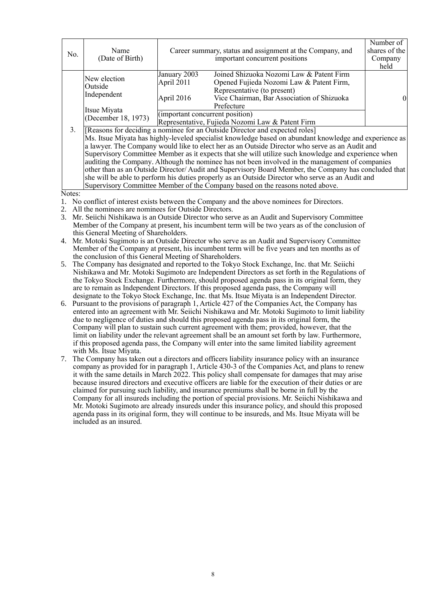| No. | Name<br>(Date of Birth)                                                                                                                                                                                                                                                                                                                                                                                                                                                                                                                                                                                                                                                                                                                                                                                                                            |                                                                                                                                                                                                                                                                | Career summary, status and assignment at the Company, and<br>important concurrent positions | Number of<br>shares of the<br>Company<br>held |  |  |
|-----|----------------------------------------------------------------------------------------------------------------------------------------------------------------------------------------------------------------------------------------------------------------------------------------------------------------------------------------------------------------------------------------------------------------------------------------------------------------------------------------------------------------------------------------------------------------------------------------------------------------------------------------------------------------------------------------------------------------------------------------------------------------------------------------------------------------------------------------------------|----------------------------------------------------------------------------------------------------------------------------------------------------------------------------------------------------------------------------------------------------------------|---------------------------------------------------------------------------------------------|-----------------------------------------------|--|--|
|     | New election<br>Outside<br>Independent<br>Itsue Miyata<br>(December 18, 1973)                                                                                                                                                                                                                                                                                                                                                                                                                                                                                                                                                                                                                                                                                                                                                                      | Joined Shizuoka Nozomi Law & Patent Firm<br>January 2003<br>April 2011<br>Opened Fujieda Nozomi Law & Patent Firm,<br>Representative (to present)<br>Vice Chairman, Bar Association of Shizuoka<br>April 2016<br>Prefecture<br>(important concurrent position) |                                                                                             |                                               |  |  |
| 3.  | Representative, Fujieda Nozomi Law & Patent Firm<br>[Reasons for deciding a nominee for an Outside Director and expected roles]<br>Ms. Itsue Miyata has highly-leveled specialist knowledge based on abundant knowledge and experience as<br>a lawyer. The Company would like to elect her as an Outside Director who serve as an Audit and<br>Supervisory Committee Member as it expects that she will utilize such knowledge and experience when<br>auditing the Company. Although the nominee has not been involved in the management of companies<br>other than as an Outside Director/Audit and Supervisory Board Member, the Company has concluded that<br>she will be able to perform his duties properly as an Outside Director who serve as an Audit and<br>Supervisory Committee Member of the Company based on the reasons noted above. |                                                                                                                                                                                                                                                                |                                                                                             |                                               |  |  |

Notes:

- 1. No conflict of interest exists between the Company and the above nominees for Directors.
- 2. All the nominees are nominees for Outside Directors.
- 3. Mr. Seiichi Nishikawa is an Outside Director who serve as an Audit and Supervisory Committee Member of the Company at present, his incumbent term will be two years as of the conclusion of this General Meeting of Shareholders.
- 4. Mr. Motoki Sugimoto is an Outside Director who serve as an Audit and Supervisory Committee Member of the Company at present, his incumbent term will be five years and ten months as of the conclusion of this General Meeting of Shareholders.
- 5. The Company has designated and reported to the Tokyo Stock Exchange, Inc. that Mr. Seiichi Nishikawa and Mr. Motoki Sugimoto are Independent Directors as set forth in the Regulations of the Tokyo Stock Exchange. Furthermore, should proposed agenda pass in its original form, they are to remain as Independent Directors. If this proposed agenda pass, the Company will designate to the Tokyo Stock Exchange, Inc. that Ms. Itsue Miyata is an Independent Director.
- 6. Pursuant to the provisions of paragraph 1, Article 427 of the Companies Act, the Company has entered into an agreement with Mr. Seiichi Nishikawa and Mr. Motoki Sugimoto to limit liability due to negligence of duties and should this proposed agenda pass in its original form, the Company will plan to sustain such current agreement with them; provided, however, that the limit on liability under the relevant agreement shall be an amount set forth by law. Furthermore, if this proposed agenda pass, the Company will enter into the same limited liability agreement with Ms. Itsue Miyata.
- 7. The Company has taken out a directors and officers liability insurance policy with an insurance company as provided for in paragraph 1, Article 430-3 of the Companies Act, and plans to renew it with the same details in March 2022. This policy shall compensate for damages that may arise because insured directors and executive officers are liable for the execution of their duties or are claimed for pursuing such liability, and insurance premiums shall be borne in full by the Company for all insureds including the portion of special provisions. Mr. Seiichi Nishikawa and Mr. Motoki Sugimoto are already insureds under this insurance policy, and should this proposed agenda pass in its original form, they will continue to be insureds, and Ms. Itsue Miyata will be included as an insured.